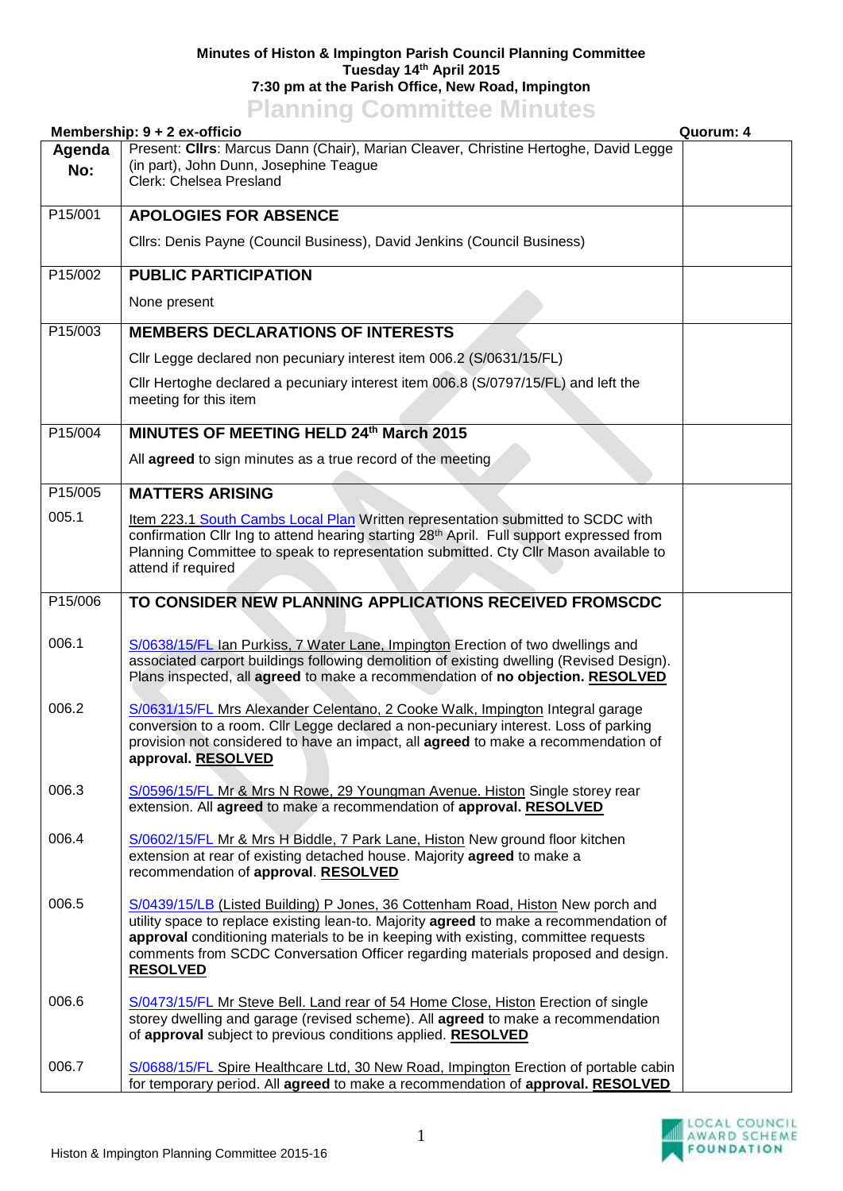## **Minutes of Histon & Impington Parish Council Planning Committee Tuesday 14th April 2015 7:30 pm at the Parish Office, New Road, Impington Planning Committee Minutes**

|               | <u>I KITING VOIHINGOV MINKOU</u><br>Membership: 9 + 2 ex-officio                                                                                                                                                                                                                                                                                                       | Quorum: 4 |
|---------------|------------------------------------------------------------------------------------------------------------------------------------------------------------------------------------------------------------------------------------------------------------------------------------------------------------------------------------------------------------------------|-----------|
| Agenda<br>No: | Present: Cllrs: Marcus Dann (Chair), Marian Cleaver, Christine Hertoghe, David Legge<br>(in part), John Dunn, Josephine Teague<br>Clerk: Chelsea Presland                                                                                                                                                                                                              |           |
| P15/001       | <b>APOLOGIES FOR ABSENCE</b>                                                                                                                                                                                                                                                                                                                                           |           |
|               | Cllrs: Denis Payne (Council Business), David Jenkins (Council Business)                                                                                                                                                                                                                                                                                                |           |
| P15/002       | <b>PUBLIC PARTICIPATION</b>                                                                                                                                                                                                                                                                                                                                            |           |
|               | None present                                                                                                                                                                                                                                                                                                                                                           |           |
| P15/003       | <b>MEMBERS DECLARATIONS OF INTERESTS</b>                                                                                                                                                                                                                                                                                                                               |           |
|               | Cllr Legge declared non pecuniary interest item 006.2 (S/0631/15/FL)                                                                                                                                                                                                                                                                                                   |           |
|               | Cllr Hertoghe declared a pecuniary interest item 006.8 (S/0797/15/FL) and left the<br>meeting for this item                                                                                                                                                                                                                                                            |           |
| P15/004       | MINUTES OF MEETING HELD 24th March 2015                                                                                                                                                                                                                                                                                                                                |           |
|               | All agreed to sign minutes as a true record of the meeting                                                                                                                                                                                                                                                                                                             |           |
| P15/005       | <b>MATTERS ARISING</b>                                                                                                                                                                                                                                                                                                                                                 |           |
| 005.1         | Item 223.1 South Cambs Local Plan Written representation submitted to SCDC with<br>confirmation Cllr Ing to attend hearing starting 28 <sup>th</sup> April. Full support expressed from<br>Planning Committee to speak to representation submitted. Cty Cllr Mason available to<br>attend if required                                                                  |           |
| P15/006       | TO CONSIDER NEW PLANNING APPLICATIONS RECEIVED FROMSCDC                                                                                                                                                                                                                                                                                                                |           |
| 006.1         | S/0638/15/FL Ian Purkiss, 7 Water Lane, Impington Erection of two dwellings and<br>associated carport buildings following demolition of existing dwelling (Revised Design).<br>Plans inspected, all agreed to make a recommendation of no objection. RESOLVED                                                                                                          |           |
| 006.2         | S/0631/15/FL Mrs Alexander Celentano, 2 Cooke Walk, Impington Integral garage<br>conversion to a room. Cllr Legge declared a non-pecuniary interest. Loss of parking<br>provision not considered to have an impact, all <b>agreed</b> to make a recommendation of<br>approval. RESOLVED                                                                                |           |
| 006.3         | S/0596/15/FL Mr & Mrs N Rowe, 29 Youngman Avenue. Histon Single storey rear<br>extension. All agreed to make a recommendation of approval. RESOLVED                                                                                                                                                                                                                    |           |
| 006.4         | S/0602/15/FL Mr & Mrs H Biddle, 7 Park Lane, Histon New ground floor kitchen<br>extension at rear of existing detached house. Majority agreed to make a<br>recommendation of approval. RESOLVED                                                                                                                                                                        |           |
| 006.5         | S/0439/15/LB (Listed Building) P Jones, 36 Cottenham Road, Histon New porch and<br>utility space to replace existing lean-to. Majority agreed to make a recommendation of<br>approval conditioning materials to be in keeping with existing, committee requests<br>comments from SCDC Conversation Officer regarding materials proposed and design.<br><b>RESOLVED</b> |           |
| 006.6         | S/0473/15/FL Mr Steve Bell. Land rear of 54 Home Close, Histon Erection of single<br>storey dwelling and garage (revised scheme). All agreed to make a recommendation<br>of approval subject to previous conditions applied. RESOLVED                                                                                                                                  |           |
| 006.7         | S/0688/15/FL Spire Healthcare Ltd, 30 New Road, Impington Erection of portable cabin<br>for temporary period. All agreed to make a recommendation of approval. RESOLVED                                                                                                                                                                                                |           |